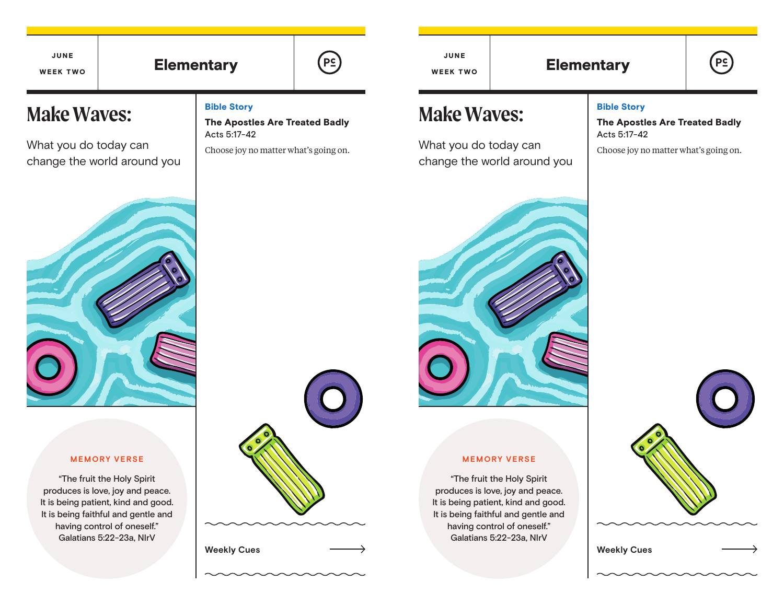JUNE WEEK TWO

**Make Waves:**

What you do today can

change the world around you

# Elementary  $\left[\begin{array}{ccc} \left[\begin{array}{cc} P_{\subseteq} \end{array}\right] & \left[\begin{array}{cc} \left[\begin{array}{cc} P_{\subseteq} \end{array}\right] & \left[\begin{array}{cc} \left[\begin{array}{cc} \left[\begin{array}{cc} \mathbf{R}_{\subseteq} \end{array}\right] & \left[\begin{array}{cc} \mathbf{R}_{\subseteq} \end{array}\right] & \left[\begin{array}{cc} \mathbf{R}_{\subseteq} \end{array}\right] & \left[\begin{array}{cc} \mathbf{R}_{\subseteq} \end{array}\right] & \left[\begin{array}{cc} \mathbf{R}_{\subseteq} \end{array}\right]$

Bible Story

Acts 5:17-42

The Apostles Are Treated Badly

Choose joy no matter what's going on.

JUNE WEEK TWO

# **Make Waves:**

What you do today can change the world around you



### Bible Story

The Apostles Are Treated Badly Acts 5:17-42

**PS** 

Choose joy no matter what's going on.



#### **MEMORY VERSE**

"The fruit the Holy Spirit produces is love, joy and peace. It is being patient, kind and good. It is being faithful and gentle and having control of oneself." Galatians 5:22-23a, NIrV





#### **MEMORY VERSE**

"The fruit the Holy Spirit produces is love, joy and peace. It is being patient, kind and good. It is being faithful and gentle and having control of oneself." Galatians 5:22-23a, NIrV